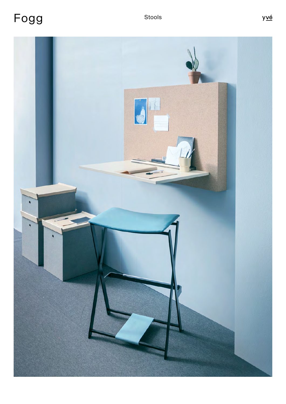Fogg

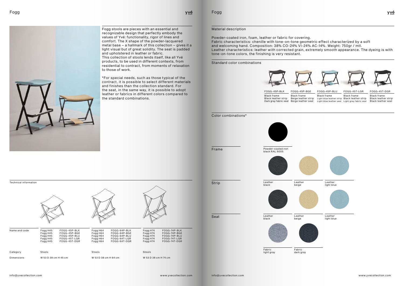Powder-coated iron, foam, leather or fabric for covering. Fabric characteristics: chenille with tone-on-tone geometric effect characterized by a soft and welcoming hand. Composition: 38% CO-24% VI-24% AC-14%. Weight: 750gr / mtl. Leather characteristics: leather with corrected grain, extremely smooth appearance. The dyeing is with tone-on-tone colors, the finishing is very resistant.

Powder-coated iron **black RAL 9005**<br>black RAL 9005 black RAL 9005



Seat Leather black

Fogg

<u>yvé</u>

Material description



Light blue leather strip Black leather strip Light blue leather seat Light gray fabric seat Black frame

Color combinations\*



Standard color combinations



Leather black

Leather beige



Black frame Beige leather strip Dark gray fabric seat  $\,$  Beige leather seat FOGG-45P-BGE FOGG-45P-BLK FOGG-45P-BLU FOGG-45T-LGR FOGG-45T-DGR Black frame Black leather strip

Fabric light gray



Leather beige



Fabric dark gray



Black frame



Black frame Black leather strip Black leather seat

Fogg stools are pieces with an essential and recognizable design that perfectly embody the values of Yvé: functionality, rigor of lines and comfort. The X shape of the powder-lacquered metal base – a hallmark of this collection – gives it a light visual but of great solidity. The seat is padded and upholstered in leather or fabric. This collection of stools lends itself, like all Yvé products, to be used in different contexts, from residential to contract, from moments of relaxation to those of work.

\*For special needs, such as those typical of the contract, it is possible to select different materials and finishes than the collection standard. For the seat, in the same way, it is possible to adopt leather or fabrics in different colors compared to the standard combinations.